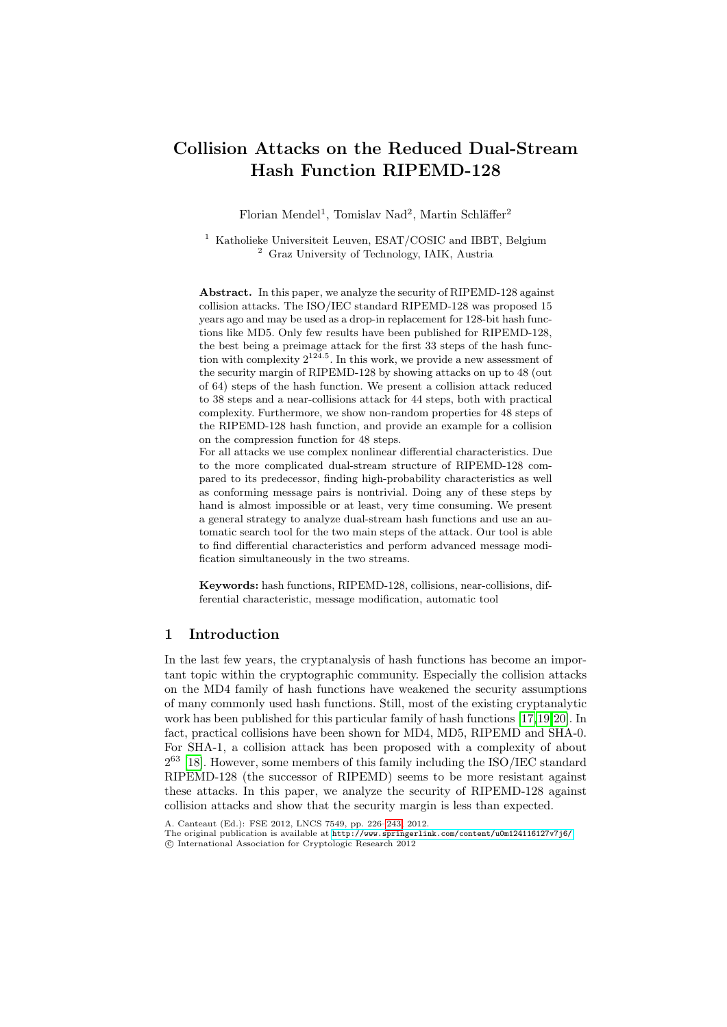# Collision Attacks on the Reduced Dual-Stream Hash Function RIPEMD-128

Florian Mendel<sup>1</sup>, Tomislav Nad<sup>2</sup>, Martin Schläffer<sup>2</sup>

<sup>1</sup> Katholieke Universiteit Leuven, ESAT/COSIC and IBBT, Belgium <sup>2</sup> Graz University of Technology, IAIK, Austria

Abstract. In this paper, we analyze the security of RIPEMD-128 against collision attacks. The ISO/IEC standard RIPEMD-128 was proposed 15 years ago and may be used as a drop-in replacement for 128-bit hash functions like MD5. Only few results have been published for RIPEMD-128, the best being a preimage attack for the first 33 steps of the hash function with complexity  $2^{124.5}$ . In this work, we provide a new assessment of the security margin of RIPEMD-128 by showing attacks on up to 48 (out of 64) steps of the hash function. We present a collision attack reduced to 38 steps and a near-collisions attack for 44 steps, both with practical complexity. Furthermore, we show non-random properties for 48 steps of the RIPEMD-128 hash function, and provide an example for a collision on the compression function for 48 steps.

For all attacks we use complex nonlinear differential characteristics. Due to the more complicated dual-stream structure of RIPEMD-128 compared to its predecessor, finding high-probability characteristics as well as conforming message pairs is nontrivial. Doing any of these steps by hand is almost impossible or at least, very time consuming. We present a general strategy to analyze dual-stream hash functions and use an automatic search tool for the two main steps of the attack. Our tool is able to find differential characteristics and perform advanced message modification simultaneously in the two streams.

Keywords: hash functions, RIPEMD-128, collisions, near-collisions, differential characteristic, message modification, automatic tool

### 1 Introduction

In the last few years, the cryptanalysis of hash functions has become an important topic within the cryptographic community. Especially the collision attacks on the MD4 family of hash functions have weakened the security assumptions of many commonly used hash functions. Still, most of the existing cryptanalytic work has been published for this particular family of hash functions [17,19,20]. In fact, practical collisions have been shown for MD4, MD5, RIPEMD and SHA-0. For SHA-[1, a collision attack has been proposed with](http://www.springerlink.com/content/u0m124116127v7j6/) a complexity of about 2 <sup>63</sup> [18]. However, some members of this family including the ISO/IEC standard RIPEMD-128 (the successor of RIPEMD) seems to be more resistant against these attacks. In this paper, we analyze the security of RIPEMD-128 against collision attacks and show that the security margin is less than expected.

A. Canteaut (Ed.): FSE 2012, LNCS 7549, pp. 226–243, 2012.

The original publication is available at http://www.springerlink.com/content/u0m124116127v7j6/ c International Association for Cryptologic Research 2012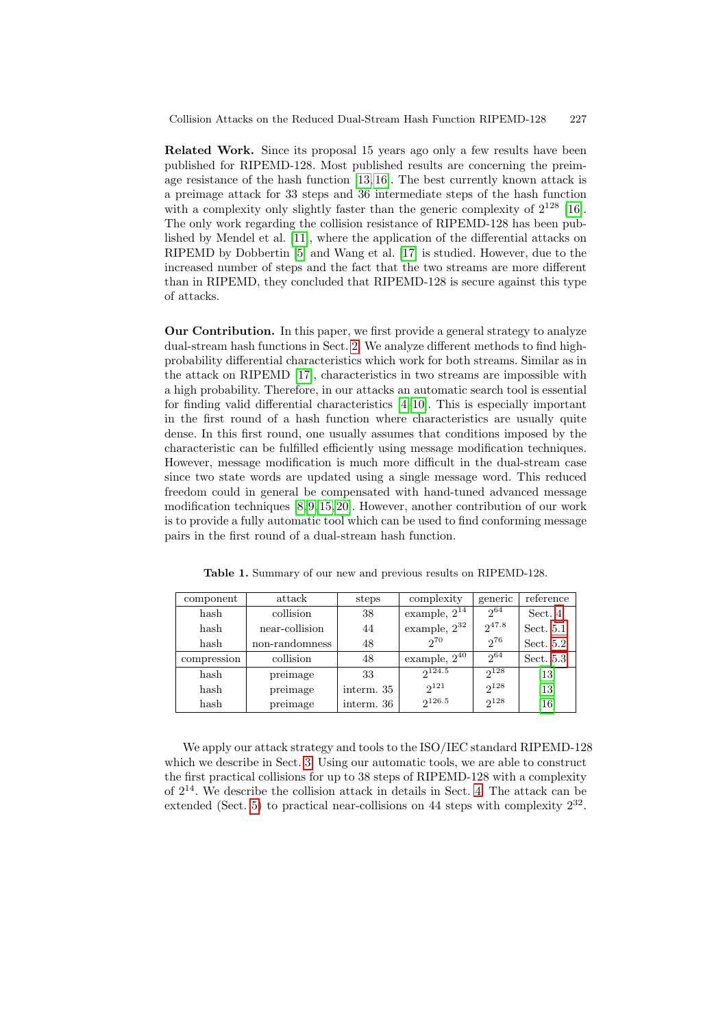R[elat](#page-14-0)ed Work. Since its proposal 15 years ago only a few results have been pu[blis](#page-14-1)hed for RIPEM[D-12](#page-15-1)8. Most published results are concerning the preimage resistance of the hash function [13, 16]. The best currently known attack is a preimage attack for 33 steps and 36 intermediate steps of the hash function with a complexity only slightly faster than the generic complexity of  $2^{128}$  [16]. The only work regarding the collision resistance of RIPEMD-128 has been published by Mendel et al. [11], where the application of the differential attacks on RIPEMD by Dobbertin [5] and Wang et al. [17] is studied. However, due to the increased nu[mb](#page-2-0)er of steps and the fact that the two streams are more different than in RIPEMD, they concluded that RIPEMD-128 is secure against this type of [atta](#page-15-1)cks.

Our Contribution. I[n t](#page-14-2)[his](#page-14-3) paper, we first provide a general strategy to analyze dual-stream hash functions in Sect. 2. We analyze different methods to find highprobability differential characteristics which work for both streams. Similar as in the attack on RIPEMD [17], characteristics in two streams are impossible with a high probability. Therefore, in our attacks an automatic search tool is essential for finding valid differential characteristics [4, 10]. This is especially important in [th](#page-14-4)[e](#page-14-5) [first](#page-15-2) [ro](#page-15-3)und of a hash function where characteristics are usually quite dense. In this first round, one usually assumes that conditions imposed by the characteristic can be fulfilled efficiently using message modification techniques. However, message modification is much more difficult in the dual-stream case since two state words are updated using a single message word. This reduced freedom could in general be compensated with hand-tuned advanced message modification techniques [8, 9, 15, 20]. However, another contribution of our work is to provide a fully automatic tool which can be used to find conforming message pairs in the first round of a dual-stream hash funct[ion.](#page-11-0)

| component   | attack         | steps      | complexity        | generic    | reference                     |
|-------------|----------------|------------|-------------------|------------|-------------------------------|
| hash        | collision      | 38         | example, $2^{14}$ | $2^{64}$   | Sect. 4                       |
| hash        | near-collision | 44         | example, $2^{32}$ | $2^{47.8}$ | Sect. 5.1                     |
| hash        | non-randomness | 48         | $2^{70}$          | $2^{76}$   | Sect. $5.2$                   |
| compression | collision      | 48         | example, $2^{40}$ | $2^{64}$   | Sect. 5.3                     |
| hash        | preimage       | 33         | $2^{124.5}$       | $2^{128}$  | $\left[13\right]$             |
| hash        | preimage       | interm. 35 | $2^{121}$         | $2^{128}$  | $\left\lceil 13\right\rceil$  |
| hash        | preimage       | interm. 36 | $2^{126.5}$       | $2^{128}$  | $\left\lceil 16 \right\rceil$ |

Table 1. Summary of our new and previous re[sults](#page-13-0) on RIPEMD-128.

We apply our attack strategy and tools to the ISO/IEC standard RIPEMD-128 which we describe in Sect. 3. Using our automatic tools, we are able to construct the first practical collisions for up to 38 steps of RIPEMD-128 with a complexity of  $2^{14}$ . We describe the collision attack in details in Sect. 4. The attack can be extended (Sect. 5) to practical near-collisions on 44 steps with complexity  $2^{32}$ .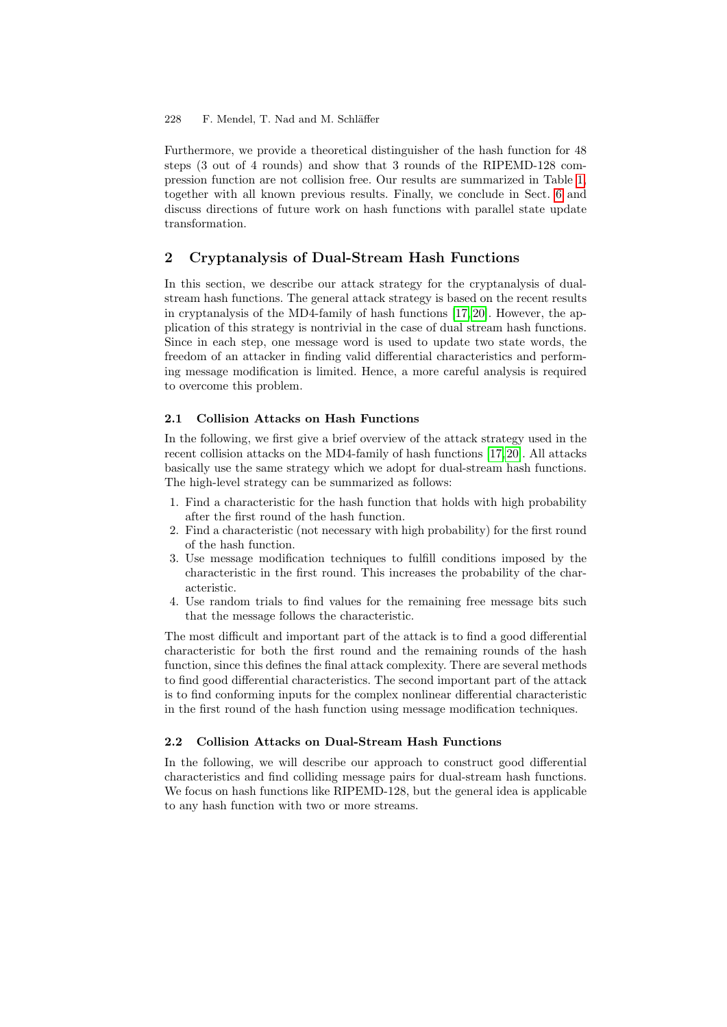<span id="page-2-0"></span>Furthermore, we provide a theoretical distinguisher of the hash function for 48 steps (3 out of 4 rounds) and show that 3 rounds of the RIPEMD-128 compression function are not collision free. Our results are summarized in Table 1, together with all known previous results. Finally, we conclude in Sect. 6 and discuss directions of future work on hash functions with parallel state update transformation.

### 2 Cryptanalysis of Dual-Stream Hash Functions

In this section, we describe our attack strategy for the cryptanalysis of dualstream hash functions. The general attack strategy is based on the recent results in cryptanalysis of the MD4-family of hash functions [17, 20]. However, the application of this strategy is nontrivial in the case of dual stream hash functions. Since in each step, one message word is used to update two state words, the freedom of an attacker in finding valid differential characteristics and performing message modification is limited. He[nce](#page-15-1)[, a](#page-15-3) more careful analysis is required to overcome this problem.

### 2.1 Collision Attacks on Hash Functions

In the following, we first give a brief overview of the attack strategy used in the recent collision attacks on the MD4-family of hash functions [17, 20]. All attacks basically use the same strategy which we adopt for dual-stream hash functions. The high-level strategy can be summarized as follows:

- 1. Find a characteristic for the hash function that holds with high probability after the first round of the hash function.
- 2. Find a characteristic (not necessary with high probability) for the first round of the hash function.
- 3. Use message modification techniques to fulfill conditions imposed by the characteristic in the first round. This increases the probability of the characteristic.
- 4. Use random trials to find values for the remaining free message bits such that the message follows the characteristic.

<span id="page-2-1"></span>The most difficult and important part of the attack is to find a good differential characteristic for both the first round and the remaining rounds of the hash function, since this defines the final attack complexity. There are several methods to find good differential characteristics. The second important part of the attack is to find conforming inputs for the complex nonlinear differential characteristic in the first round of the hash function using message modification techniques.

### 2.2 Collision Attacks on Dual-Stream Hash Functions

In the following, we will describe our approach to construct good differential characteristics and find colliding message pairs for dual-stream hash functions. We focus on hash functions like RIPEMD-128, but the general idea is applicable to any hash function with two or more streams.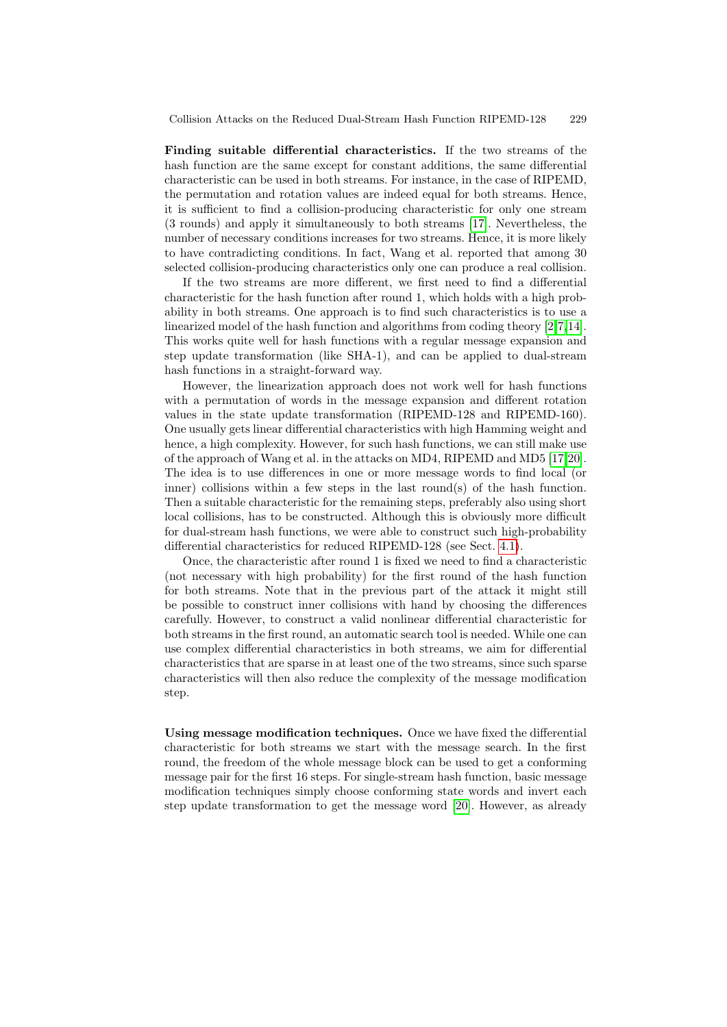Finding suitable differential ch[ara](#page-15-1)cteristics. If the two streams of the hash function are the same except for constant additions, the same differential characteristic can be used in both streams. For instance, in the case of RIPEMD, the permutation and rotation values are indeed equal for both streams. Hence, it is sufficient to find a collision-producing characteristic for only one stream (3 rounds) and apply it simultaneously to both streams [17]. Nevertheless, the number of necessary conditions increases for two st[rea](#page-14-6)[m](#page-14-7)[s. H](#page-15-5)ence, it is more likely to have contradicting conditions. In fact, Wang et al. reported that among 30 selected collision-producing characteristics only one can produce a real collision.

If the two streams are more different, we first need to find a differential characteristic for the hash function after round 1, which holds with a high probability in both streams. One approach is to find such characteristics is to use a linearized model of the hash function and algorithms from coding theory [2,7,14]. This works quite well for hash functions with a regular message expansion and step update transformation (like SHA-1), and can be applied to dual-stream hash functions in a straight-forward way.

However, the linearization approach does not [wor](#page-15-1)[k w](#page-15-3)ell for hash functions with a permutation of words in the message expansion and different rotation values in the state update transformation (RIPEMD-128 and RIPEMD-160). One usually gets linear differential characteristics with high Hamming weight and hence, a high complexity. However, for such hash functions, we can still make use of the approach of Wang et al. in the attac[ks on](#page-9-0) MD4, RIPEMD and MD5 [17,20]. The idea is to use differences in one or more message words to find local (or inner) collisions within a few steps in the last round(s) of the hash function. Then a suitable characteristic for the remaining steps, preferably also using short local collisions, has to be constructed. Although this is obviously more difficult for dual-stream hash functions, we were able to construct such high-probability differential characteristics for reduced RIPEMD-128 (see Sect. 4.1).

Once, the characteristic after round 1 is fixed we need to find a characteristic (not necessary with high probability) for the first round of the hash function for both streams. Note that in the previous part of the attack it might still be possible to construct inner collisions with hand by choosing the differences carefully. However, to construct a valid nonlinear differential characteristic for both streams in the first round, an automatic search tool is needed. While one can use complex differential characteristics in both streams, we aim for differential characteristics that are sparse in at least one of the two streams, since such sparse characteristics will then also reduce the complexity of the message modification step.

Using message modification t[ech](#page-15-3)niques. Once we have fixed the differential characteristic for both streams we start with the message search. In the first round, the freedom of the whole message block can be used to get a conforming message pair for the first 16 steps. For single-stream hash function, basic message modification techniques simply choose conforming state words and invert each step update transformation to get the message word [20]. However, as already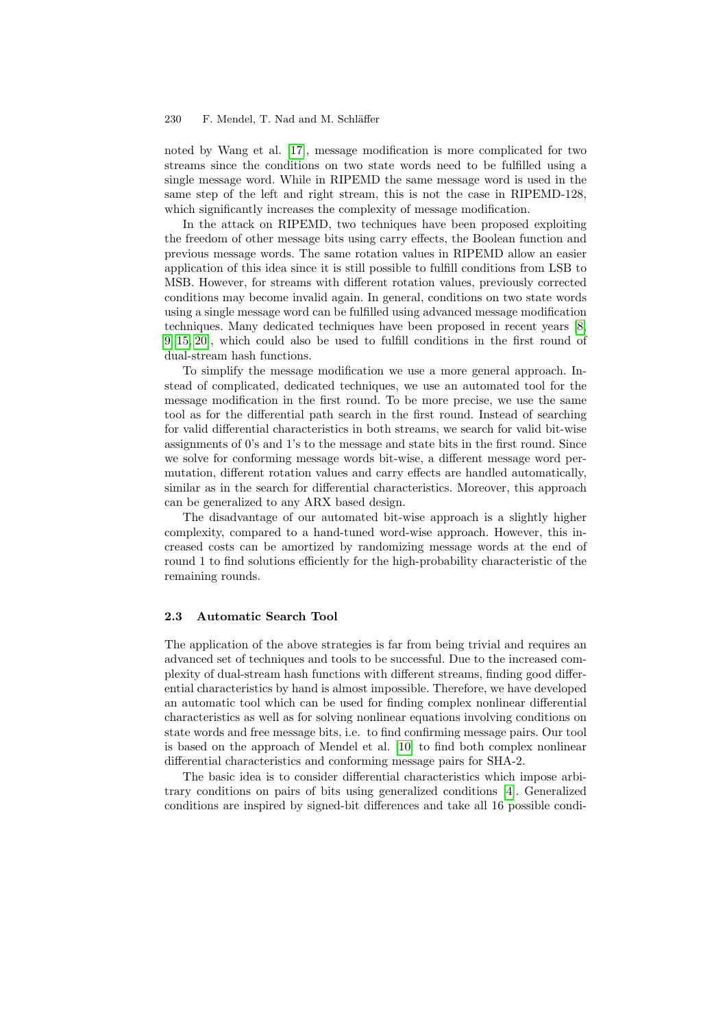noted by Wang et al. [17], message modification is more complicated for two streams since the conditions on two state words need to be fulfilled using a single message word. While in RIPEMD the same message word is used in the same step of the left and right stream, this is not the case in RIPEMD-128, which significantly increases the complexity of message modification.

In the attack on RIPEMD, two techniques have been proposed exploiting the freedom of other message bits using carry effects, th[e B](#page-14-4)oolean function and previous message words. The same rotation values in RIPEMD allow an easier application of this idea since it is still possible to fulfill conditions from LSB to MSB. However, for streams with different rotation values, previously corrected conditions may become invalid again. In general, conditions on two state words using a single message word can be fulfilled using advanced message modification techniques. Many dedicated techniques have been proposed in recent years [8, 9, 15, 20], which could also be used to fulfill conditions in the first round of dual-stream hash functions.

To simplify the message modification we use a more general approach. Instead of complicated, dedicated techniques, we use an automated tool for the message modification in the first round. To be more precise, we use the same tool as for the differential path search in the first round. Instead of searching for valid differential characteristics in both streams, we search for valid bit-wise assignments of 0's and 1's to the message and state bits in the first round. Since we solve for conforming message words bit-wise, a different message word permutation, different rotation values and carry effects are handled automatically, similar as in the search for differential characteristics. Moreover, this approach can be generalized to any ARX based design.

The disadvantage of our automated bit-wise approach is a slightly higher complexity, compared to a hand-tuned word-wise approach. However, this increased costs can be amortized by randomizing message words at the end of round 1 to find solutions efficiently for the high-probability characteristic of the remaining rounds.

#### 2.3 Automatic Search Tool

The application of the above strategies is far from being trivial and requires an advanced set of techni[que](#page-14-3)s and tools to be successful. Due to the increased complexity of dual-stream hash functions with different streams, finding good differential characteristics by hand is almost impossible. Therefore, we have developed an automatic tool which can be used for [find](#page-14-2)ing complex nonlinear differential characteristics as well as for solving nonlinear equations involving conditions on state words and free message bits, i.e. to find confirming message pairs. Our tool is based on the approach of Mendel et al. [10] to find both complex nonlinear differential characteristics and conforming message pairs for SHA-2.

The basic idea is to consider differential characteristics which impose arbitrary conditions on pairs of bits using generalized conditions [4]. Generalized conditions are inspired by signed-bit differences and take all 16 possible condi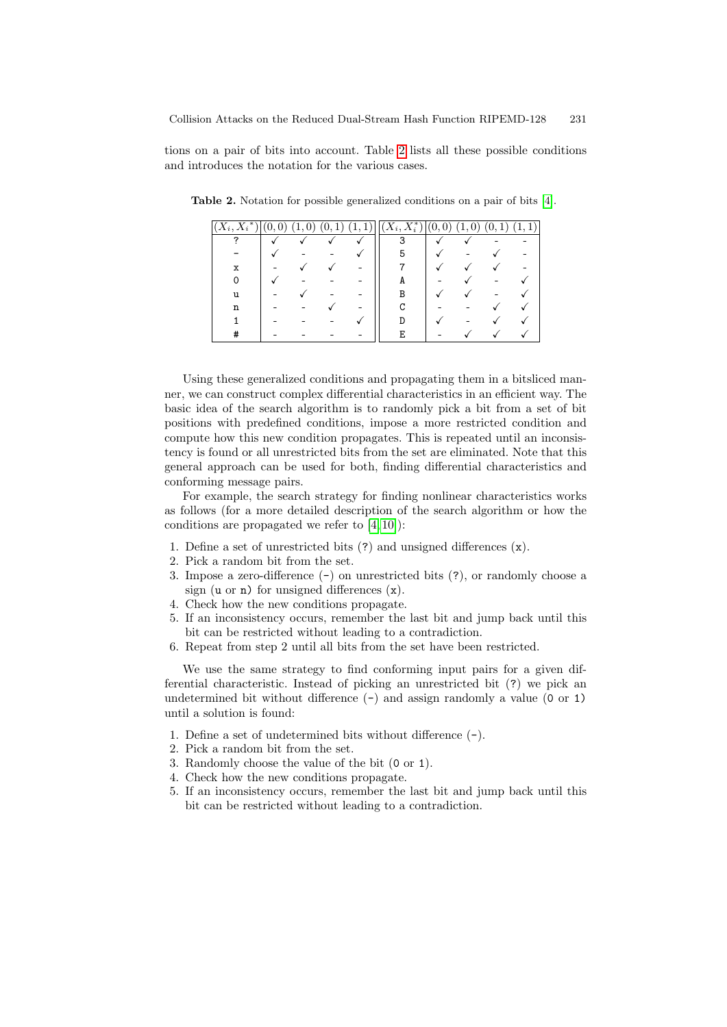tions on a pair of bits into account. Table 2 lists all these possible conditions and introduces the notation for the various cases.

| $\left(X_i, X_i^*\right)$ | (0, | (1,0) | (0, 1) | $(1,\overline{1})\cup$ | $\overline{(X_i,X^*_i)}$ | (0, |  | (1,1) |
|---------------------------|-----|-------|--------|------------------------|--------------------------|-----|--|-------|
| ິ                         |     |       |        |                        | з                        |     |  |       |
|                           |     |       |        |                        |                          |     |  |       |
| х                         |     |       |        |                        |                          |     |  |       |
|                           |     |       |        |                        | A                        |     |  |       |
| 11                        |     |       |        |                        | В                        |     |  |       |
| n                         |     |       |        |                        |                          |     |  |       |
|                           |     |       |        |                        |                          |     |  |       |
|                           |     |       |        |                        | F.                       |     |  |       |

Table 2. Notation for possible generalized conditions on a pair of bits [4].

Using these generalized conditions and propagating them in a bitsliced manner, we can construct complex differential characteristics in an efficient way. The basic idea of the search algorithm is to randomly pick a bit from a set of bit positions with predefined conditions, impose a more restricted condition and compute how thi[s n](#page-14-2)[ew](#page-14-3) condition propagates. This is repeated until an inconsistency is found or all unrestricted bits from the set are eliminated. Note that this general approach can be used for both, finding differential characteristics and conforming message pairs.

For example, the search strategy for finding nonlinear characteristics works as follows (for a more detailed description of the search algorithm or how the conditions are propagated we refer to  $[4, 10]$ :

- 1. Define a set of unrestricted bits (?) and unsigned differences (x).
- 2. Pick a random bit from the set.
- 3. Impose a zero-difference  $(-)$  on unrestricted bits  $(?)$ , or randomly choose a sign ( $u$  or  $n$ ) for unsigned differences  $(x)$ .
- 4. Check how the new conditions propagate.
- 5. If an inconsistency occurs, remember the last bit and jump back until this bit can be restricted without leading to a contradiction.
- 6. Repeat from step 2 until all bits from the set have been restricted.

We use the same strategy to find conforming input pairs for a given differential characteristic. Instead of picking an unrestricted bit (?) we pick an undetermined bit without difference  $(-)$  and assign randomly a value  $(0 \text{ or } 1)$ until a solution is found:

- 1. Define a set of undetermined bits without difference (-).
- 2. Pick a random bit from the set.
- 3. Randomly choose the value of the bit (0 or 1).
- 4. Check how the new conditions propagate.
- 5. If an inconsistency occurs, remember the last bit and jump back until this bit can be restricted without leading to a contradiction.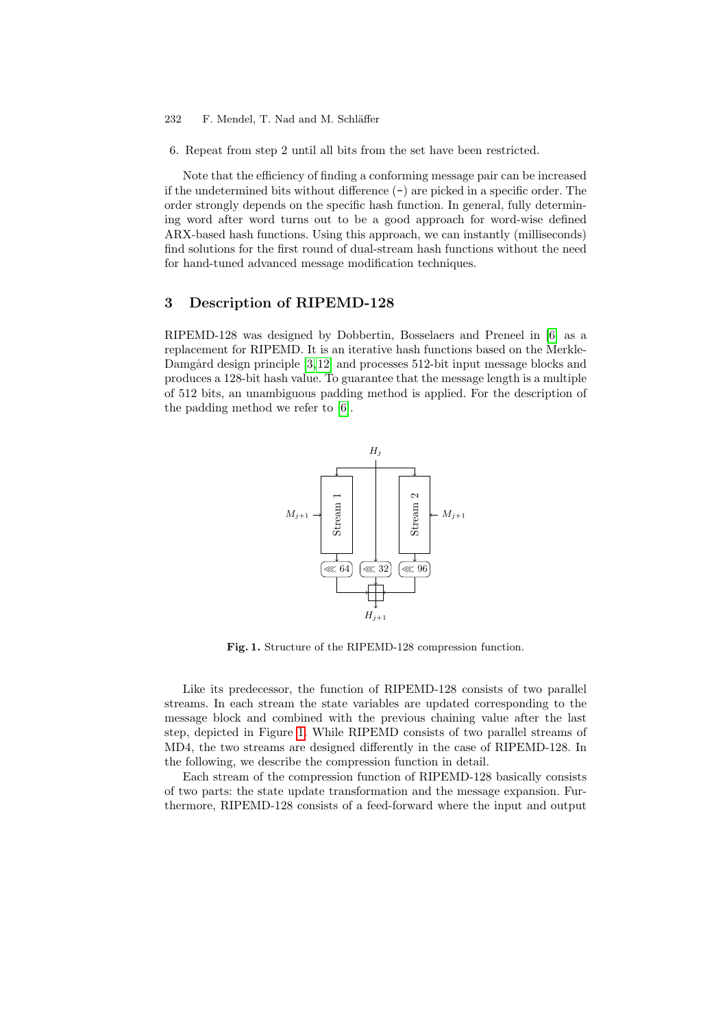- 232 F. Mendel, T. Nad and M. Schläffer
- 6. Repeat from step 2 until all bits from the set have been restricted.

<span id="page-6-0"></span>Note that the efficiency of finding a conforming message pair can be increased if the undetermined bits without difference  $(-)$  are picked in a specific order. The order strongly depends on the specific hash function. In general, fully determining word after word turns out to be a good approach for word-wise defined ARX-based hash functions. Using this approach, we can instantly (milliseconds) find solutions for the first round of dual-stream has[h](#page-14-8) functions without the need for hand-tuned advanced message modification techniques.

### 3 Description of RIPEMD-128

RIPEMD-1[28](#page-14-8) was designed by Dobbertin, Bosselaers and Preneel in [6] as a replacement for RIPEMD. It is an iterative hash functions based on the Merkle-Damgård design principle  $[3,12]$  and processes 512-bit input message blocks and produces a 128-bit hash value. To guarantee that the message length is a multiple of 512 bits, an unambiguous padding method is applied. For the description of the padding method we refer to [6].



Fig. 1. Structure of the RIPEMD-128 compression function.

Like its predecessor, the function of RIPEMD-128 consists of two parallel streams. In each stream the state variables are updated corresponding to the message block and combined with the previous chaining value after the last step, depicted in Figure 1. While RIPEMD consists of two parallel streams of MD4, the two streams are designed differently in the case of RIPEMD-128. In the following, we describe the compression function in detail.

Each stream of the compression function of RIPEMD-128 basically consists of two parts: the state update transformation and the message expansion. Furthermore, RIPEMD-128 consists of a feed-forward where the input and output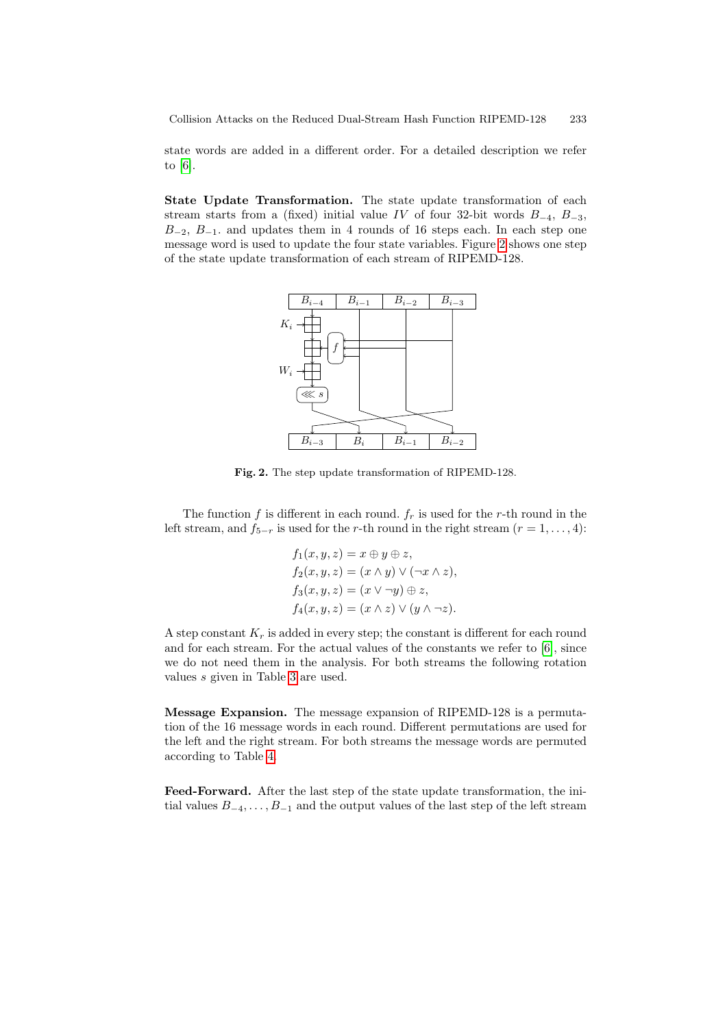state words are added in a different ord[er.](#page-7-0) For a detailed description we refer to [6].

State Update Transformation. The state update transformation of each stream starts from a (fixed) initial value IV of four 32-bit words  $B_{-4}$ ,  $B_{-3}$ ,  $B_{-2}$ ,  $B_{-1}$  and updates them in 4 rounds of 16 steps each. In each step one message word is used to update the four state variables. Figure 2 shows one step of the state update transformation of each stream of RIPEMD-128.



<span id="page-7-0"></span>Fig. 2. The step update transformation of RIPEMD-128.

The function f is different in each round.  $f_r$  is used for the r-th round in the left stream, and  $f_{5-r}$  is used for the r-th round in the right stream  $(r = 1, \ldots, 4)$ :

$$
f_1(x, y, z) = x \oplus y \oplus z,
$$
  
\n
$$
f_2(x, y, z) = (x \wedge y) \vee (\neg x \wedge z),
$$
  
\n
$$
f_3(x, y, z) = (x \vee \neg y) \oplus z,
$$
  
\n
$$
f_4(x, y, z) = (x \wedge z) \vee (y \wedge \neg z).
$$

A step constant  $K_r$  is added in every step; the constant is different for each round and for each stream. For the actual values of the constants we refer to [6], since we do not need them in the analysis. For both streams the following rotation values s given in Table 3 are used.

Message Expansion. The message expansion of RIPEMD-128 is a permutation of the 16 message words in each round. Different permutations are used for the left and the right stream. For both streams the message words are permuted according to Table 4.

Feed-Forward. After the last step of the state update transformation, the initial values  $B_{-4}, \ldots, B_{-1}$  and the output values of the last step of the left stream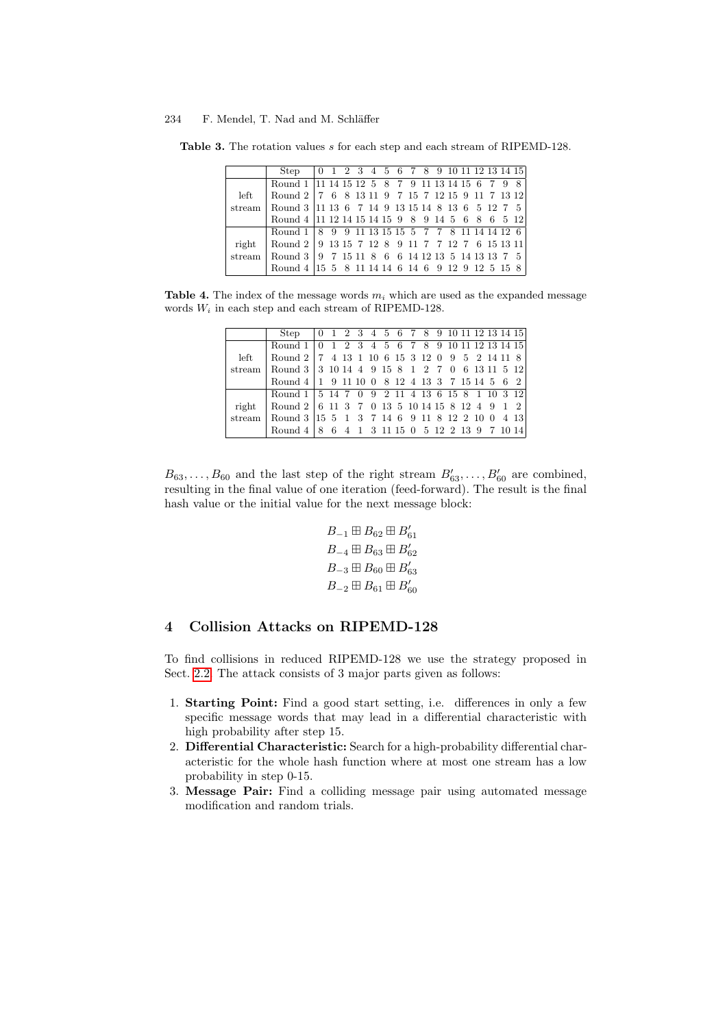Table 3. The rotation values s for each step and each stream of RIPEMD-128.

|        | Step                                                                       | 0 1 2 3 4 5 6 7 8 9 10 11 12 13 14 15 |  |  |  |  |  |  |  |  |
|--------|----------------------------------------------------------------------------|---------------------------------------|--|--|--|--|--|--|--|--|
|        | Round 1 11 14 15 12 5 8 7 9 11 13 14 15 6 7 9 8                            |                                       |  |  |  |  |  |  |  |  |
| left   | Round 2   7 6 8 13 11 9 7 15 7 12 15 9 11 7 13 12                          |                                       |  |  |  |  |  |  |  |  |
| stream | Round 3 11 13 6 7 14 9 13 15 14 8 13 6 5 12 7 5                            |                                       |  |  |  |  |  |  |  |  |
|        | Round 4 11 12 14 15 14 15 9 8 9 14 5 6 8 6 5 12                            |                                       |  |  |  |  |  |  |  |  |
|        | Round 1   8   9   9   11   13   15   5   5   7   8   11   14   14   12   6 |                                       |  |  |  |  |  |  |  |  |
| right  | Round 2   9 13 15 7 12 8 9 11 7 7 12 7 6 15 13 11                          |                                       |  |  |  |  |  |  |  |  |
| stream | Round 3   9 7 15 11 8 6 6 14 12 13 5 14 13 13 7 5                          |                                       |  |  |  |  |  |  |  |  |
|        | Round 4 15 5 8 11 14 14 6 14 6 9 12 9 12 5 15 8                            |                                       |  |  |  |  |  |  |  |  |

Table 4. The index of the message words  $m_i$  which are used as the expanded message words  $W_i$  in each step and each stream of RIPEMD-128.

|      | Step   0 1 2 3 4 5 6 7 8 9 10 11 12 13 14 15                                                                                             |  |  |  |  |  |  |  |  |
|------|------------------------------------------------------------------------------------------------------------------------------------------|--|--|--|--|--|--|--|--|
|      | Round 1   0 1 2 3 4 5 6 7 8 9 10 11 12 13 14 15                                                                                          |  |  |  |  |  |  |  |  |
| left | $\vert$ Round 2 $\vert$ 7 4 13 1 10 6 15 3 12 0 9 5 2 14 11 8                                                                            |  |  |  |  |  |  |  |  |
|      | stream   Round $3 \mid 3 \mid 10 \mid 14 \mid 4 \mid 9 \mid 15 \mid 8 \mid 1 \mid 2 \mid 7 \mid 0 \mid 6 \mid 13 \mid 11 \mid 5 \mid 12$ |  |  |  |  |  |  |  |  |
|      | Round 4 1 9 11 10 0 8 12 4 13 3 7 15 14 5 6 2                                                                                            |  |  |  |  |  |  |  |  |
|      | Round 1   5 14 7 0 9 2 11 4 13 6 15 8 1 10 3 12                                                                                          |  |  |  |  |  |  |  |  |
|      | right Round 2 6 11 3 7 0 13 5 10 14 15 8 12 4 9 1 2                                                                                      |  |  |  |  |  |  |  |  |
|      | stream   Round 3   15 5 1 3 7 14 6 9 11 8 12 2 10 0 4 13                                                                                 |  |  |  |  |  |  |  |  |
|      | Round 4   8 6 4 1 3 11 15 0 5 12 2 13 9 7 10 14                                                                                          |  |  |  |  |  |  |  |  |
|      |                                                                                                                                          |  |  |  |  |  |  |  |  |

<span id="page-8-0"></span> $B_{63}, \ldots, B_{60}$  and the last step of the right stream  $B'_{63}, \ldots, B'_{60}$  are combined, resulting in the final value of one iteration (feed-forward). The result is the final hash value or the initial value for the next message block:

$$
B_{-1} \boxplus B_{62} \boxplus B'_{61}
$$
  
\n
$$
B_{-4} \boxplus B_{63} \boxplus B'_{62}
$$
  
\n
$$
B_{-3} \boxplus B_{60} \boxplus B'_{63}
$$
  
\n
$$
B_{-2} \boxplus B_{61} \boxplus B'_{60}
$$

### 4 Collision Attacks on RIPEMD-128

To find collisions in reduced RIPEMD-128 we use the strategy proposed in Sect. 2.2. The attack consists of 3 major parts given as follows:

- 1. Starting Point: Find a good start setting, i.e. differences in only a few specific message words that may lead in a differential characteristic with high probability after step 15.
- 2. Differential Characteristic: Search for a high-probability differential characteristic for the whole hash function where at most one stream has a low probability in step 0-15.
- 3. Message Pair: Find a colliding message pair using automated message modification and random trials.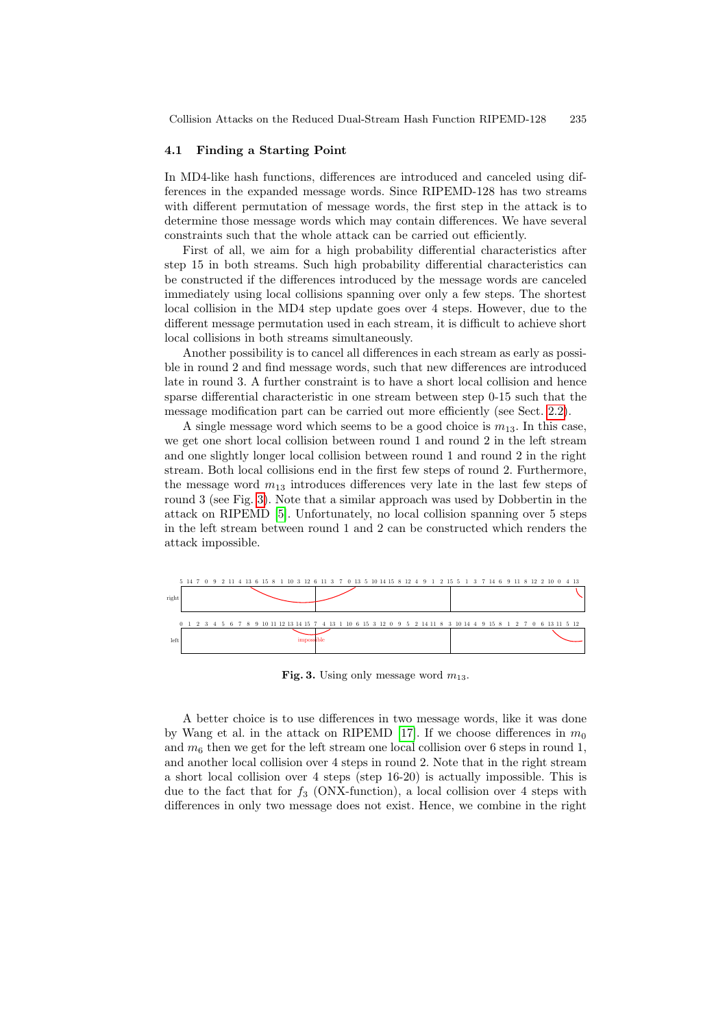#### <span id="page-9-0"></span>4.1 Finding a Starting Point

In MD4-like hash functions, differences are introduced and canceled using differences in the expanded message words. Since RIPEMD-128 has two streams with different permutation of message words, the first step in the attack is to determine those message words which may contain differences. We have several constraints such that the whole attack can be carried out efficiently.

First of all, we aim for a high probability differential characteristics after step 15 in both streams. Such high probability differential characteristics can be constructed if the differences introduced by the message words are canceled immediately using local collisions spanning over only a few steps. The shortest local collision in the MD4 step update goes over 4 steps. However, due to the different message permutation used in each stream, [it is](#page-2-1) difficult to achieve short local collisions in both streams simultaneously.

Another possibility is to cancel all differences in each stream as early as possible in round 2 and find message words, such that new differences are introduced late in round 3. A further constraint is to have a short local collision and hence sparse differential characteristic in one stream between step 0-15 such that the message modification part can be carried out more efficiently (see Sect. 2.2).

A single message word which seems to be a good choice is  $m_{13}$ . In this case, [we](#page-14-1) get one short local collision between round 1 and round 2 in the left stream and one slightly longer local collision between round 1 and round 2 in the right stream. Both local collisions end in the first few steps of round 2. Furthermore, the message word  $m_{13}$  introduces differences very late in the last few steps of round 3 (see Fig. 3). Note that a similar approach was used by Dobbertin in the attack on RIPEMD [5]. Unfortunately, no local collision spanning over 5 steps in the left stream between round 1 and 2 can be constructed which renders the attack impossible.



Fig. 3. Using only message word  $m_{13}$ .

A better choice is to use differences in two message words, like it was done by Wang et al. in the attack on RIPEMD [17]. If we choose differences in  $m_0$ and  $m<sub>6</sub>$  then we get for the left stream one local collision over 6 steps in round 1, and another local collision over 4 steps in round 2. Note that in the right stream a short local collision over 4 steps (step 16-20) is actually impossible. This is due to the fact that for  $f_3$  (ONX-function), a local collision over 4 steps with differences in only two message does not exist. Hence, we combine in the right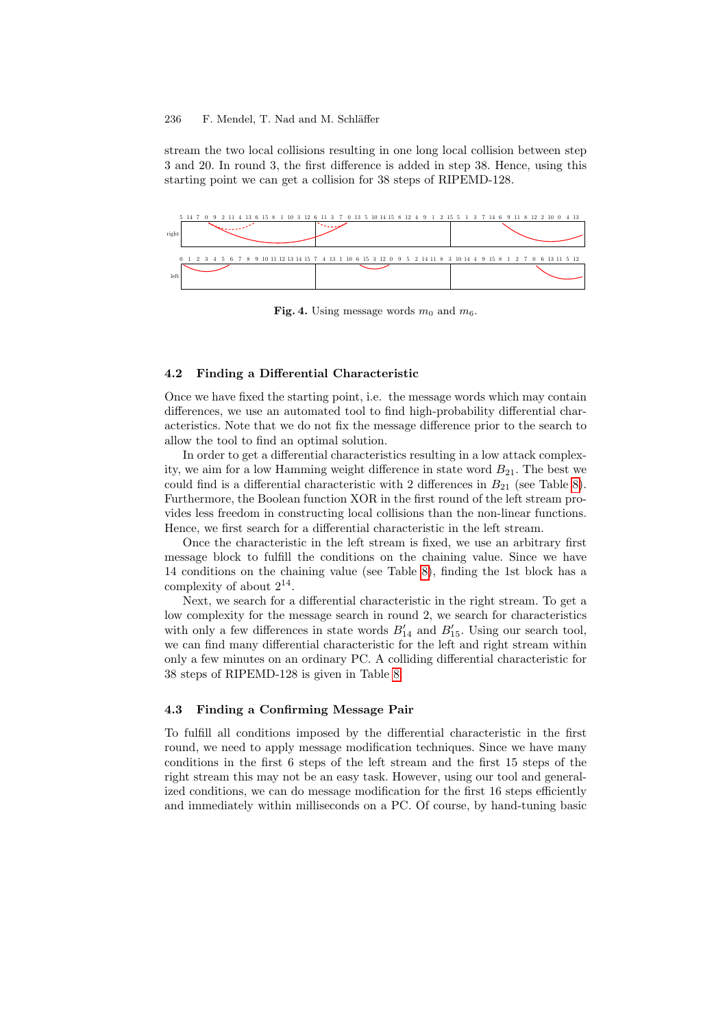stream the two local collisions resulting in one long local collision between step 3 and 20. In round 3, the first difference is added in step 38. Hence, using this starting point we can get a collision for 38 steps of RIPEMD-128.



Fig. 4. Using message words  $m_0$  and  $m_6$ .

#### 4.2 Finding a Differential Characteristic

Once we have fixed the starting point, i.e. the message [wo](#page-16-0)rds which may contain differences, we use an automated tool to find high-probability differential characteristics. Note that we do not fix the message difference prior to the search to allow the tool to find an optimal solution.

In order to get a differential characteristics resulting in a low attack complexity, we aim for a low Hamming weight difference in state word  $B_{21}$ . The best we could find is a differential [cha](#page-16-0)racteristic with 2 differences in  $B_{21}$  (see Table 8). Furthermore, the Boolean function XOR in the first round of the left stream provides less freedom in constructing local collisions than the non-linear functions. Hence, we first search for a differential characteristic in the left stream.

Once the characteristic in the left stream is fixed, we use an arbitrary first message block to fulfill the conditions on the chaining value. Since we have 14 conditions on the chaining value (see Table 8), finding the 1st block has a complexity of about  $2^{14}$ .

Next, we search f[or](#page-16-0) a differential characteristic in the right stream. To get a low complexity for the message search in round 2, we search for characteristics with only a few differences in state words  $B'_{14}$  and  $B'_{15}$ . Using our search tool, we can find many differential characteristic for the left and right stream within only a few minutes on an ordinary PC. A colliding differential characteristic for 38 steps of RIPEMD-128 is given in Table 8.

### 4.3 Finding a Confirming Message Pair

To fulfill all conditions imposed by the differential characteristic in the first round, we need to apply message modification techniques. Since we have many conditions in the first 6 steps of the left stream and the first 15 steps of the right stream this may not be an easy task. However, using our tool and generalized conditions, we can do message modification for the first 16 steps efficiently and immediately within milliseconds on a PC. Of course, by hand-tuning basic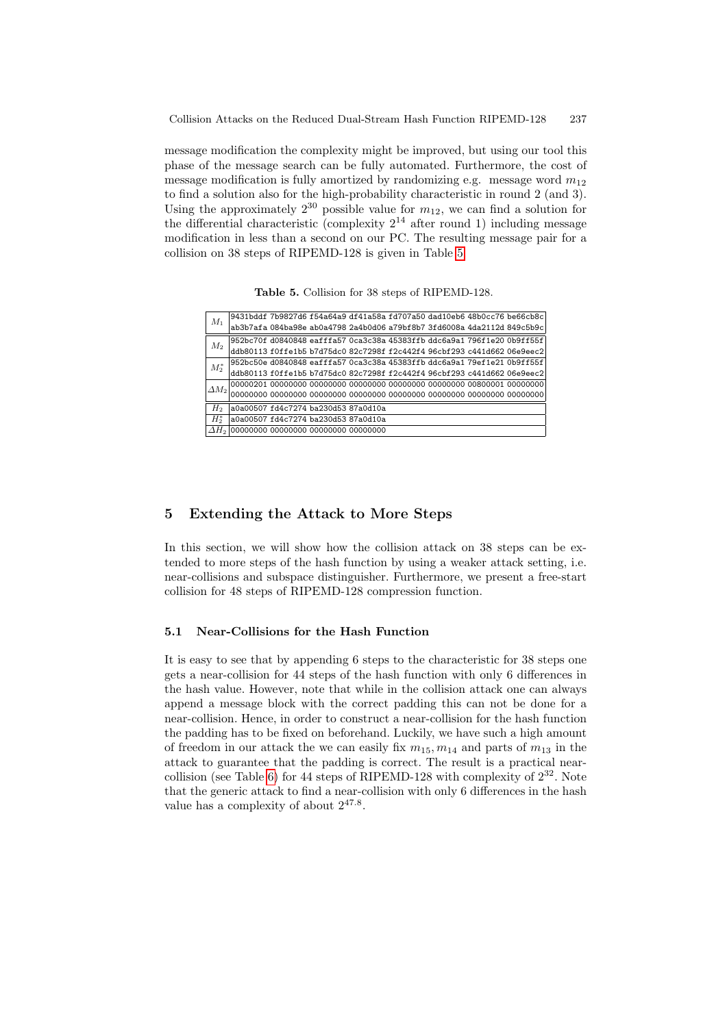<span id="page-11-1"></span>message modification the complexity might be improved, but using our tool this phase of the message search can [be](#page-11-1) fully automated. Furthermore, the cost of message modification is fully amortized by randomizing e.g. message word  $m_{12}$ to find a solution also for the high-probability characteristic in round 2 (and 3). Using the approximately  $2^{30}$  possible value for  $m_{12}$ , we can find a solution for the differential characteristic (complexity  $2^{14}$  after round 1) including message modification in less than a second on our PC. The resulting message pair for a collision on 38 steps of RIPEMD-128 is given in Table 5.

Table 5. Collision for 38 steps of RIPEMD-128.

| $M_1$           |                                                  |                                     |  |  | 9431bddf 7b9827d6 f54a64a9 df41a58a fd707a50 dad10eb6 48b0cc76 be66cb8c |  |
|-----------------|--------------------------------------------------|-------------------------------------|--|--|-------------------------------------------------------------------------|--|
|                 |                                                  |                                     |  |  | ab3b7afa 084ba98e ab0a4798 2a4b0d06 a79bf8b7 3fd6008a 4da2112d 849c5b9c |  |
| $M_2$           |                                                  |                                     |  |  | 952bc70f d0840848 eafffa57 0ca3c38a 45383ffb ddc6a9a1 796f1e20 0b9ff55f |  |
|                 |                                                  |                                     |  |  | ddb80113 f0ffe1b5 b7d75dc0 82c7298f f2c442f4 96cbf293 c441d662 06e9eec2 |  |
| $M_2^*$         |                                                  |                                     |  |  | 952bc50e d0840848 eafffa57 0ca3c38a 45383ffb ddc6a9a1 79ef1e21 0b9ff55f |  |
|                 |                                                  |                                     |  |  | ddb80113 f0ffe1b5 b7d75dc0 82c7298f f2c442f4 96cbf293 c441d662 06e9eec2 |  |
| $\varDelta M_2$ |                                                  |                                     |  |  |                                                                         |  |
|                 |                                                  |                                     |  |  |                                                                         |  |
| H2              |                                                  | a0a00507 fd4c7274 ba230d53 87a0d10a |  |  |                                                                         |  |
| $H^*_{\alpha}$  |                                                  | a0a00507 fd4c7274 ba230d53 87a0d10a |  |  |                                                                         |  |
|                 | $\Delta H_2$ 00000000 00000000 00000000 00000000 |                                     |  |  |                                                                         |  |

### 5 Extending the Attack to More Steps

<span id="page-11-0"></span>In this section, we will show how the collision attack on 38 steps can be extended to more steps of the hash function by using a weaker attack setting, i.e. near-collisions and subspace distinguisher. Furthermore, we present a free-start collision for 48 steps of RIPEMD-128 compression function.

### 5.1 Near-Collisions for the Hash Function

It is easy to see that by appending 6 steps to the characteristic for 38 steps one gets a near-collision for 44 steps of the hash function with only 6 differences in the hash value. However, note that while in the collision attack one can always append a message block with the correct padding this can not be done for a near-collision. Hence, in order to construct a near-collision for the hash function the padding has to be fixed on beforehand. Luckily, we have such a high amount of freedom in our attack the we can easily fix  $m_{15}$ ,  $m_{14}$  and parts of  $m_{13}$  in the attack to guarantee that the padding is correct. The result is a practical nearcollision (see Table 6) for 44 steps of RIPEMD-128 with complexity of  $2^{32}$ . Note that the generic attack to find a near-collision with only 6 differences in the hash value has a complexity of about  $2^{47.8}$ .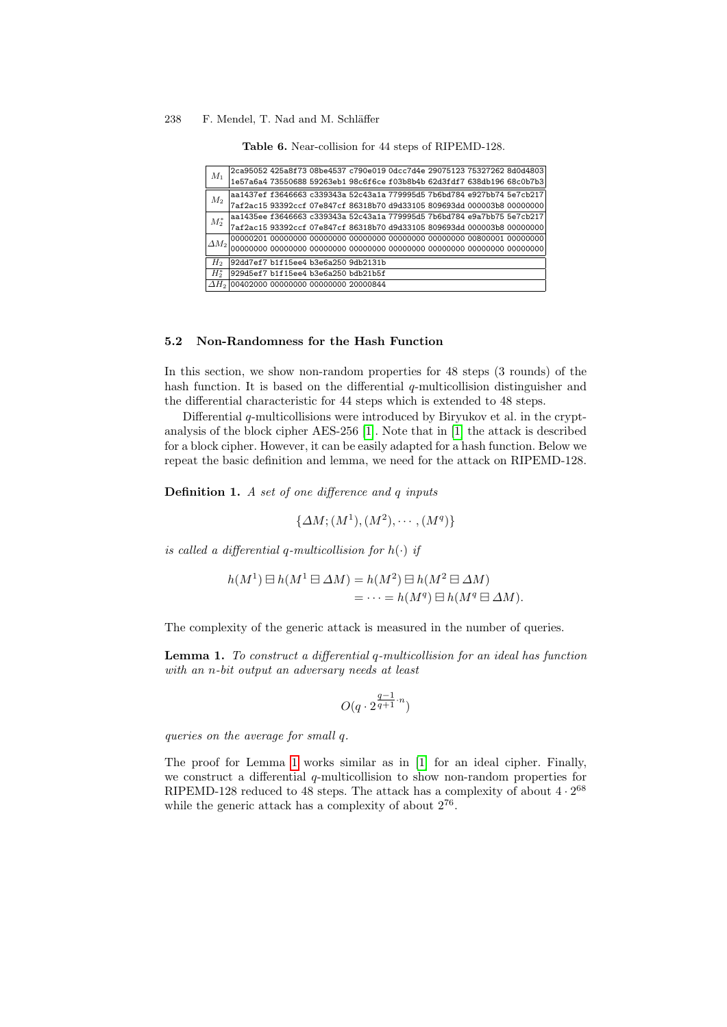Table 6. Near-collision for 44 steps of RIPEMD-128.

|                 |                                                   |  |  | 2ca95052 425a8f73 08be4537 c790e019 0dcc7d4e 29075123 75327262 8d0d4803 |  |
|-----------------|---------------------------------------------------|--|--|-------------------------------------------------------------------------|--|
| $M_1$           |                                                   |  |  | 1e57a6a4 73550688 59263eb1 98c6f6ce f03b8b4b 62d3fdf7 638db196 68c0b7b3 |  |
| $M_2$           |                                                   |  |  | aa1437ef f3646663 c339343a 52c43a1a 779995d5 7b6bd784 e927bb74 5e7cb217 |  |
|                 |                                                   |  |  | 7af2ac15 93392ccf 07e847cf 86318b70 d9d33105 809693dd 000003b8 00000000 |  |
| $M_2^*$         |                                                   |  |  | aa1435ee f3646663 c339343a 52c43a1a 779995d5 7b6bd784 e9a7bb75 5e7cb217 |  |
|                 |                                                   |  |  | 7af2ac15 93392ccf 07e847cf 86318b70 d9d33105 809693dd 000003b8 00000000 |  |
| $\varDelta M_2$ |                                                   |  |  |                                                                         |  |
|                 |                                                   |  |  |                                                                         |  |
| $H_2$           | 92dd7ef7 b1f15ee4 b3e6a250 9db2131b               |  |  |                                                                         |  |
| $H^*_{\alpha}$  | 929d5ef7 b1f15ee4 b3e6a250 bdb21b5f               |  |  |                                                                         |  |
|                 | $\Delta H_2$  00402000 00000000 00000000 20000844 |  |  |                                                                         |  |

#### <span id="page-12-0"></span>5.2 Non-Ra[ndo](#page-14-9)mness for t[he](#page-14-9) Hash Function

In this section, we show non-random properties for 48 steps (3 rounds) of the hash function. It is based on the differential  $q$ -multicollision distinguisher and the differential characteristic for 44 steps which is extended to 48 steps.

Differential  $q$ -multicollisions were introduced by Biryukov et al. in the cryptanalysis of the block cipher AES-256 [1]. Note that in [1] the attack is described for a block cipher. However, it can be easily adapted for a hash function. Below we repeat the basic definition and lemma, we need for the attack on RIPEMD-128.

Definition 1. A set of one difference and q inputs

<span id="page-12-1"></span> $\{\Delta M; (M^1), (M^2), \cdots, (M^q)\}\$ 

is called a differential q-multicollision for  $h(\cdot)$  if

$$
h(M^1) \boxminus h(M^1 \boxminus \Delta M) = h(M^2) \boxminus h(M^2 \boxminus \Delta M)
$$
  
=  $\cdots = h(M^q) \boxminus h(M^q \boxminus \Delta M).$ 

The complexity of the generic attack is measured in the number of queries.

Lemma 1. To construct a differential q-multicollision for an ideal has function wi[th](#page-12-1) an n-bit output an a[dve](#page-14-9)rsary needs at least

$$
O(q \cdot 2^{\frac{q-1}{q+1} \cdot n})
$$

queries on the average for small q.

The proof for Lemma 1 works similar as in [1] for an ideal cipher. Finally, we construct a differential  $q$ -multicollision to show non-random properties for RIPEMD-128 reduced to 48 steps. The attack has a complexity of about  $4 \cdot 2^{68}$ while the generic attack has a complexity of about  $2^{76}$ .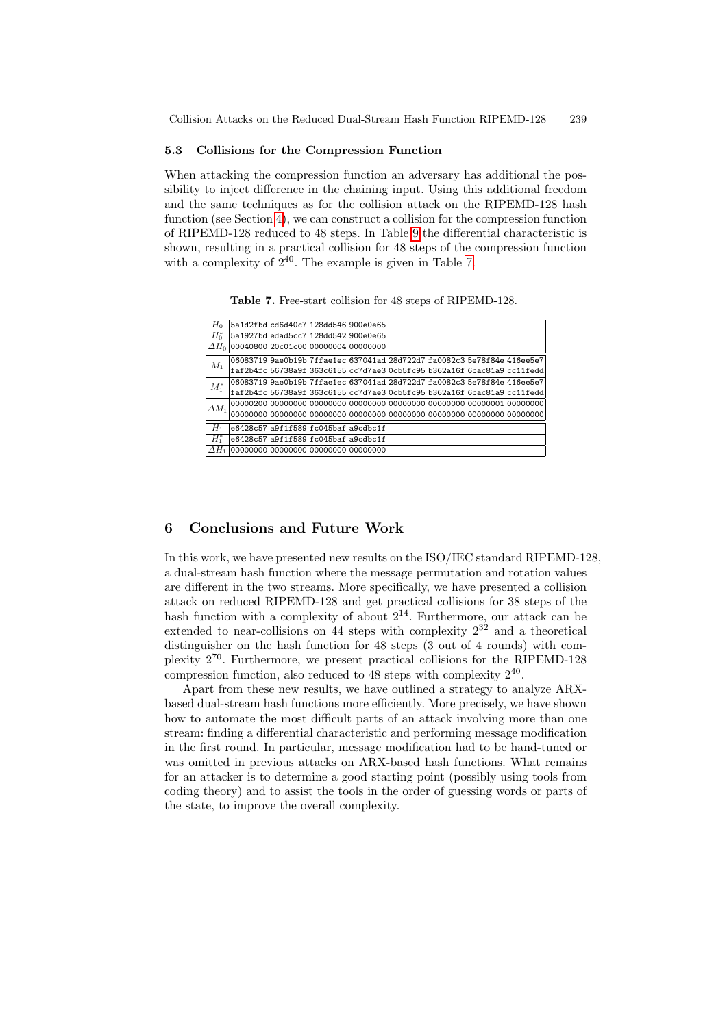#### <span id="page-13-0"></span>5.3 Collisions for th[e C](#page-17-1)ompression Function

<span id="page-13-1"></span>When attacking the compression f[unc](#page-13-1)tion an adversary has additional the possibility to inject difference in the chaining input. Using this additional freedom and the same techniques as for the collision attack on the RIPEMD-128 hash function (see Section 4), we can construct a collision for the compression function of RIPEMD-128 reduced to 48 steps. In Table 9 the differential characteristic is shown, resulting in a practical collision for 48 steps of the compression function with a complexity of  $2^{40}$ . The example is given in Table 7.

Table 7. Free-start collision for 48 steps of RIPEMD-128.

| $H_0$           | 5a1d2fbd cd6d40c7 128dd546 900e0e65                                     |  |  |                                                                         |  |
|-----------------|-------------------------------------------------------------------------|--|--|-------------------------------------------------------------------------|--|
| $H^*_{0}$       | 5a1927bd edad5cc7 128dd542 900e0e65                                     |  |  |                                                                         |  |
|                 | $\Delta H_0$  00040800 20 $\text{c}$ 01 $\text{c}$ 00 00000004 00000000 |  |  |                                                                         |  |
|                 |                                                                         |  |  | 06083719 9ae0b19b 7ffae1ec 637041ad 28d722d7 fa0082c3 5e78f84e 416ee5e7 |  |
| $M_1$           |                                                                         |  |  | faf2b4fc 56738a9f 363c6155 cc7d7ae3 0cb5fc95 b362a16f 6cac81a9 cc11fedd |  |
| $M_1^*$         |                                                                         |  |  | 06083719 9ae0b19b 7ffae1ec 637041ad 28d722d7 fa0082c3 5e78f84e 416ee5e7 |  |
|                 |                                                                         |  |  | faf2b4fc 56738a9f 363c6155 cc7d7ae3 0cb5fc95 b362a16f 6cac81a9 cc11fedd |  |
| $\varDelta M_1$ |                                                                         |  |  |                                                                         |  |
|                 |                                                                         |  |  |                                                                         |  |
| $H_1$           | e6428c57 a9f1f589 fc045baf a9cdbc1f                                     |  |  |                                                                         |  |
| $H^*$           | e6428c57 a9f1f589 fc045baf a9cdbc1f                                     |  |  |                                                                         |  |
| $\varDelta H_1$ | 00000000 00000000 00000000 00000000                                     |  |  |                                                                         |  |
|                 |                                                                         |  |  |                                                                         |  |

### 6 Conclusions and Future Work

In this work, we have presented new results on the ISO/IEC standard RIPEMD-128, a dual-stream hash function where the message permutation and rotation values are different in the two streams. More specifically, we have presented a collision attack on reduced RIPEMD-128 and get practical collisions for 38 steps of the hash function with a complexity of about  $2^{14}$ . Furthermore, our attack can be extended to near-collisions on 44 steps with complexity 2<sup>32</sup> and a theoretical distinguisher on the hash function for 48 steps (3 out of 4 rounds) with complexity 2<sup>70</sup>. Furthermore, we present practical collisions for the RIPEMD-128 compression function, also reduced to  $48$  steps with complexity  $2^{40}$ .

Apart from these new results, we have outlined a strategy to analyze ARXbased dual-stream hash functions more efficiently. More precisely, we have shown how to automate the most difficult parts of an attack involving more than one stream: finding a differential characteristic and performing message modification in the first round. In particular, message modification had to be hand-tuned or was omitted in previous attacks on ARX-based hash functions. What remains for an attacker is to determine a good starting point (possibly using tools from coding theory) and to assist the tools in the order of guessing words or parts of the state, to improve the overall complexity.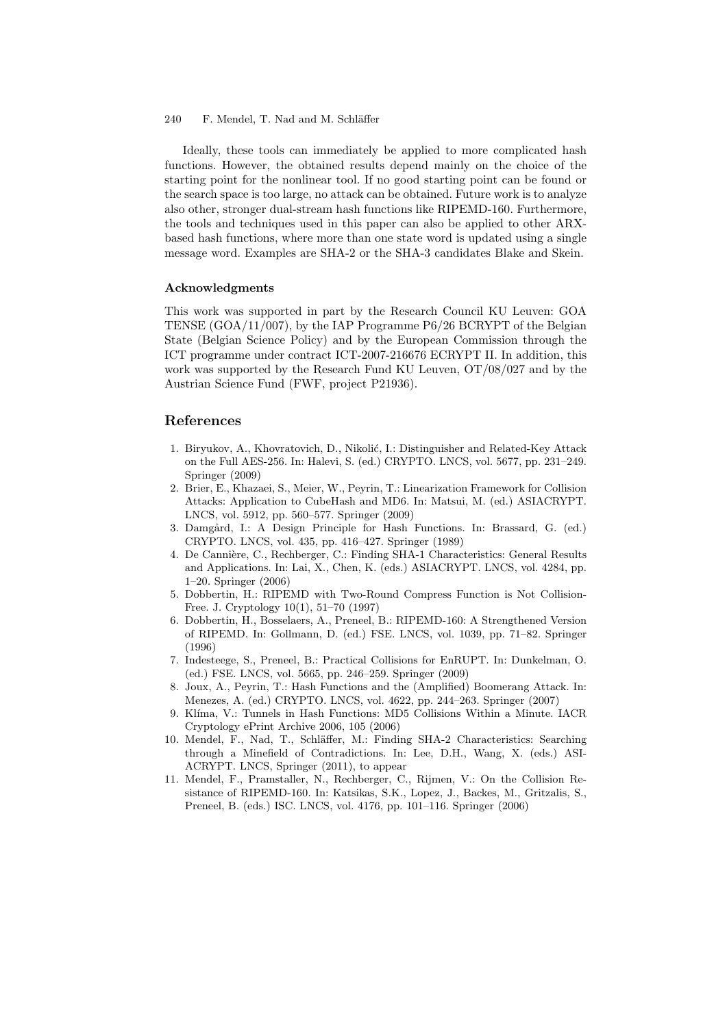Ideally, these tools can immediately be applied to more complicated hash functions. However, the obtained results depend mainly on the choice of the starting point for the nonlinear tool. If no good starting point can be found or the search space is too large, no attack can be obtained. Future work is to analyze also other, stronger dual-stream hash functions like RIPEMD-160. Furthermore, the tools and techniques used in this paper can also be applied to other ARXbased hash functions, where more than one state word is updated using a single message word. Examples are SHA-2 or the SHA-3 candidates Blake and Skein.

### Acknowledgments

This work was supported in part by the Research Council KU Leuven: GOA TENSE (GOA/11/007), by the IAP Programme P6/26 BCRYPT of the Belgian State (Belgian Science Policy) and by the European Commission through the ICT programme under contract ICT-2007-216676 ECRYPT II. In addition, this work was supported by the Research Fund KU Leuven, OT/08/027 and by the Austrian Science Fund (FWF, project P21936).

## References

- <span id="page-14-9"></span>1. Biryukov, A., Khovratovich, D., Nikolić, I.: Distinguisher and Related-Key Attack on the Full AES-256. In: Halevi, S. (ed.) CRYPTO. LNCS, vol. 5677, pp. 231–249. Springer (2009)
- <span id="page-14-6"></span>2. Brier, E., Khazaei, S., Meier, W., Peyrin, T.: Linearization Framework for Collision Attacks: Application to CubeHash and MD6. In: Matsui, M. (ed.) ASIACRYPT. LNCS, vol. 5912, pp. 560–577. Springer (2009)
- 3. Damgård, I.: A Design Principle for Hash Functions. In: Brassard, G. (ed.) CRYPTO. LNCS, vol. 435, pp. 416–427. Springer (1989)
- <span id="page-14-2"></span>4. De Cannière, C., Rechberger, C.: Finding SHA-1 Characteristics: General Results and Applications. In: Lai, X., Chen, K. (eds.) ASIACRYPT. LNCS, vol. 4284, pp. 1–20. Springer (2006)
- <span id="page-14-1"></span>5. Dobbertin, H.: RIPEMD with Two-Round Compress Function is Not Collision-Free. J. Cryptology 10(1), 51–70 (1997)
- <span id="page-14-8"></span>6. Dobbertin, H., Bosselaers, A., Preneel, B.: RIPEMD-160: A Strengthened Version of RIPEMD. In: Gollmann, D. (ed.) FSE. LNCS, vol. 1039, pp. 71–82. Springer (1996)
- <span id="page-14-7"></span>7. Indesteege, S., Preneel, B.: Practical Collisions for EnRUPT. In: Dunkelman, O. (ed.) FSE. LNCS, vol. 5665, pp. 246–259. Springer (2009)
- <span id="page-14-4"></span>8. Joux, A., Peyrin, T.: Hash Functions and the (Amplified) Boomerang Attack. In: Menezes, A. (ed.) CRYPTO. LNCS, vol. 4622, pp. 244–263. Springer (2007)
- <span id="page-14-5"></span>9. Kl´ıma, V.: Tunnels in Hash Functions: MD5 Collisions Within a Minute. IACR Cryptology ePrint Archive 2006, 105 (2006)
- <span id="page-14-3"></span>10. Mendel, F., Nad, T., Schläffer, M.: Finding SHA-2 Characteristics: Searching through a Minefield of Contradictions. In: Lee, D.H., Wang, X. (eds.) ASI-ACRYPT. LNCS, Springer (2011), to appear
- <span id="page-14-0"></span>11. Mendel, F., Pramstaller, N., Rechberger, C., Rijmen, V.: On the Collision Resistance of RIPEMD-160. In: Katsikas, S.K., Lopez, J., Backes, M., Gritzalis, S., Preneel, B. (eds.) ISC. LNCS, vol. 4176, pp. 101–116. Springer (2006)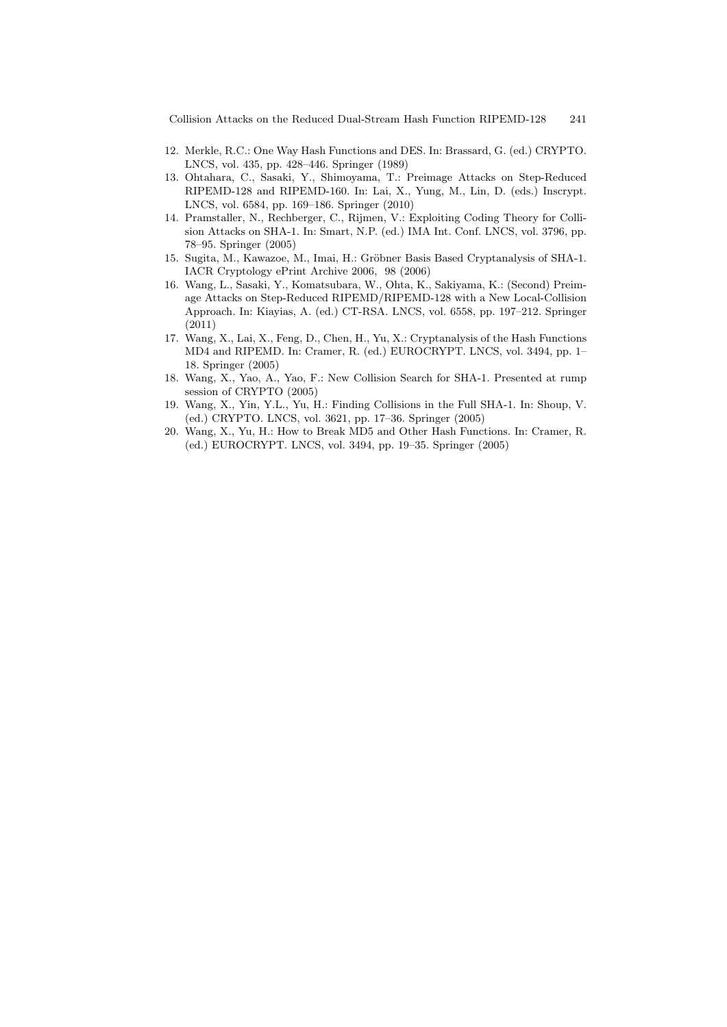- 12. Merkle, R.C.: One Way Hash Functions and DES. In: Brassard, G. (ed.) CRYPTO. LNCS, vol. 435, pp. 428–446. Springer (1989)
- <span id="page-15-4"></span>13. Ohtahara, C., Sasaki, Y., Shimoyama, T.: Preimage Attacks on Step-Reduced RIPEMD-128 and RIPEMD-160. In: Lai, X., Yung, M., Lin, D. (eds.) Inscrypt. LNCS, vol. 6584, pp. 169–186. Springer (2010)
- <span id="page-15-5"></span>14. Pramstaller, N., Rechberger, C., Rijmen, V.: Exploiting Coding Theory for Collision Attacks on SHA-1. In: Smart, N.P. (ed.) IMA Int. Conf. LNCS, vol. 3796, pp. 78–95. Springer (2005)
- <span id="page-15-2"></span>15. Sugita, M., Kawazoe, M., Imai, H.: Gröbner Basis Based Cryptanalysis of SHA-1. IACR Cryptology ePrint Archive 2006, 98 (2006)
- <span id="page-15-0"></span>16. Wang, L., Sasaki, Y., Komatsubara, W., Ohta, K., Sakiyama, K.: (Second) Preimage Attacks on Step-Reduced RIPEMD/RIPEMD-128 with a New Local-Collision Approach. In: Kiayias, A. (ed.) CT-RSA. LNCS, vol. 6558, pp. 197–212. Springer (2011)
- <span id="page-15-1"></span>17. Wang, X., Lai, X., Feng, D., Chen, H., Yu, X.: Cryptanalysis of the Hash Functions MD4 and RIPEMD. In: Cramer, R. (ed.) EUROCRYPT. LNCS, vol. 3494, pp. 1– 18. Springer (2005)
- 18. Wang, X., Yao, A., Yao, F.: New Collision Search for SHA-1. Presented at rump session of CRYPTO (2005)
- 19. Wang, X., Yin, Y.L., Yu, H.: Finding Collisions in the Full SHA-1. In: Shoup, V. (ed.) CRYPTO. LNCS, vol. 3621, pp. 17–36. Springer (2005)
- <span id="page-15-3"></span>20. Wang, X., Yu, H.: How to Break MD5 and Other Hash Functions. In: Cramer, R. (ed.) EUROCRYPT. LNCS, vol. 3494, pp. 19–35. Springer (2005)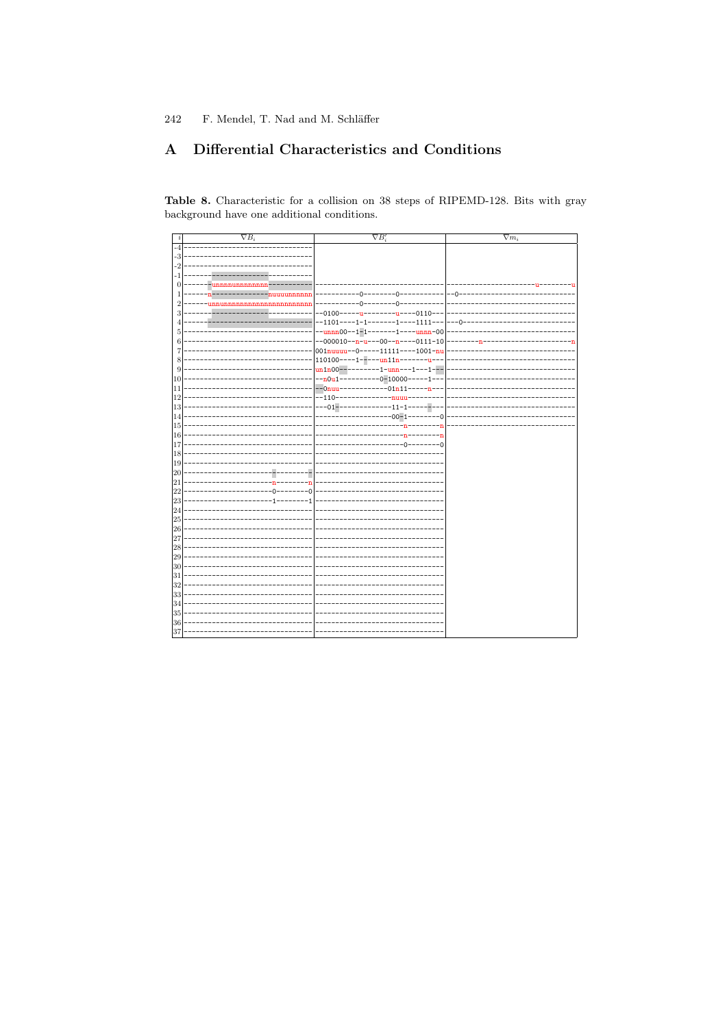#### Differential Characteristics and Conditions  ${\bf A}$

<span id="page-16-0"></span>Table 8. Characteristic for a collision on 38 steps of RIPEMD-128. Bits with gray  $\operatorname{background}$  have one additional conditions.

| i              | $\nabla B_i$             | $\nabla B_i'$                                       | $\overline{\nabla m_i}$ |
|----------------|--------------------------|-----------------------------------------------------|-------------------------|
| $-4$           |                          |                                                     |                         |
| $-3$           |                          |                                                     |                         |
| $-2$           |                          |                                                     |                         |
| $-1$           |                          |                                                     |                         |
| 0              |                          |                                                     |                         |
| 1              | <u>Innnnnn</u>           | ––––n·<br>۰Λ                                        | $-0-$                   |
| $\overline{2}$ | nnunnnnnnnnnnnnnnnnnnnnn |                                                     |                         |
| 3              |                          | $-0100---$<br>$-0110--$                             |                         |
| 4              |                          | $-1101---1-1$<br>$-1111- - -$                       |                         |
| 5              |                          | $-$ unnn00--1-1-------1----unnn-00                  |                         |
| 6              |                          | $-000010 - n - u - 00 - n - -0111 - 10$             |                         |
| 7              |                          | 001nuuuu--0-----11111----1001-nu                    |                         |
| 8              |                          | $110100---1---un11n-$<br>------- <mark>u</mark> --- |                         |
| 9              |                          | $un1n00$ ---------1- $unn$ --1---1---               |                         |
| 10             |                          | $-$ -n $0u1-$<br>$-0 - 10000 -$<br>$-1-$            |                         |
| 11             |                          | $--0$ nuu<br>01n1                                   |                         |
| 12             |                          | $-110-$                                             |                         |
| 13             |                          | ---01-<br>$\cdot$ 11                                |                         |
| 14             |                          | $-0$<br>$00 - 1$                                    |                         |
| 15             |                          |                                                     |                         |
| 16             |                          |                                                     |                         |
| 17             |                          | ٠O                                                  |                         |
| 18             |                          |                                                     |                         |
| 19             |                          |                                                     |                         |
| 20             |                          |                                                     |                         |
| $ _{21}$       |                          |                                                     |                         |
| 22             | ٠O                       |                                                     |                         |
| 23             |                          |                                                     |                         |
| $ _{24}$       |                          |                                                     |                         |
| 25             |                          |                                                     |                         |
| 26             |                          |                                                     |                         |
| 27             |                          |                                                     |                         |
| 28             |                          |                                                     |                         |
| 29             |                          |                                                     |                         |
| 30             |                          |                                                     |                         |
| 31             |                          |                                                     |                         |
| 32             |                          |                                                     |                         |
| 33             |                          |                                                     |                         |
| 34             |                          |                                                     |                         |
| 35             |                          |                                                     |                         |
| 36             |                          |                                                     |                         |
| 37             |                          |                                                     |                         |
|                |                          |                                                     |                         |